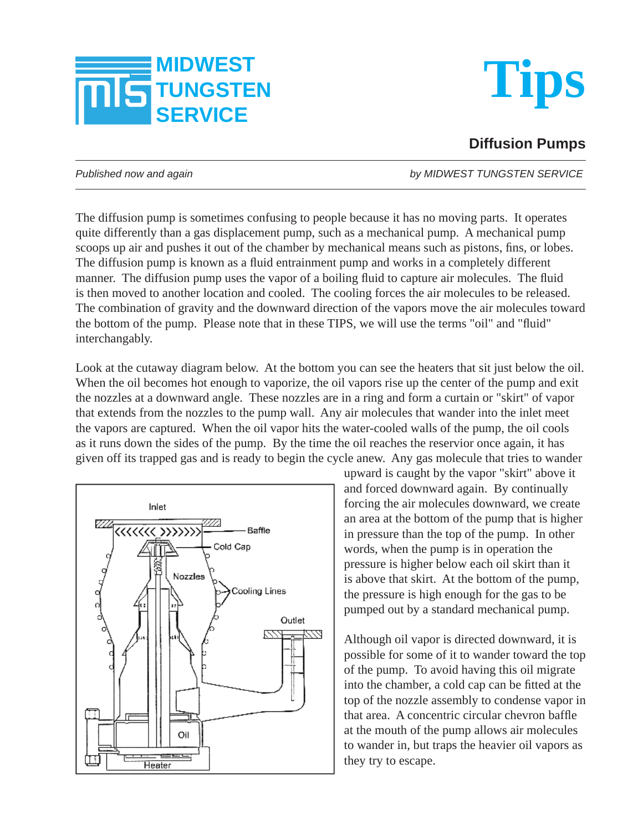



## **Diffusion Pumps**

*Published now and again by MIDWEST TUNGSTEN SERVICE*

The diffusion pump is sometimes confusing to people because it has no moving parts. It operates quite differently than a gas displacement pump, such as a mechanical pump. A mechanical pump scoops up air and pushes it out of the chamber by mechanical means such as pistons, fins, or lobes. The diffusion pump is known as a fluid entrainment pump and works in a completely different manner. The diffusion pump uses the vapor of a boiling fluid to capture air molecules. The fluid is then moved to another location and cooled. The cooling forces the air molecules to be released. The combination of gravity and the downward direction of the vapors move the air molecules toward the bottom of the pump. Please note that in these TIPS, we will use the terms "oil" and "fluid" interchangably.

Look at the cutaway diagram below. At the bottom you can see the heaters that sit just below the oil. When the oil becomes hot enough to vaporize, the oil vapors rise up the center of the pump and exit the nozzles at a downward angle. These nozzles are in a ring and form a curtain or "skirt" of vapor that extends from the nozzles to the pump wall. Any air molecules that wander into the inlet meet the vapors are captured. When the oil vapor hits the water-cooled walls of the pump, the oil cools as it runs down the sides of the pump. By the time the oil reaches the reservior once again, it has given off its trapped gas and is ready to begin the cycle anew. Any gas molecule that tries to wander



upward is caught by the vapor "skirt" above it and forced downward again. By continually forcing the air molecules downward, we create an area at the bottom of the pump that is higher in pressure than the top of the pump. In other words, when the pump is in operation the pressure is higher below each oil skirt than it is above that skirt. At the bottom of the pump, the pressure is high enough for the gas to be pumped out by a standard mechanical pump.

Although oil vapor is directed downward, it is possible for some of it to wander toward the top of the pump. To avoid having this oil migrate into the chamber, a cold cap can be fitted at the top of the nozzle assembly to condense vapor in that area. A concentric circular chevron baffle at the mouth of the pump allows air molecules to wander in, but traps the heavier oil vapors as they try to escape.